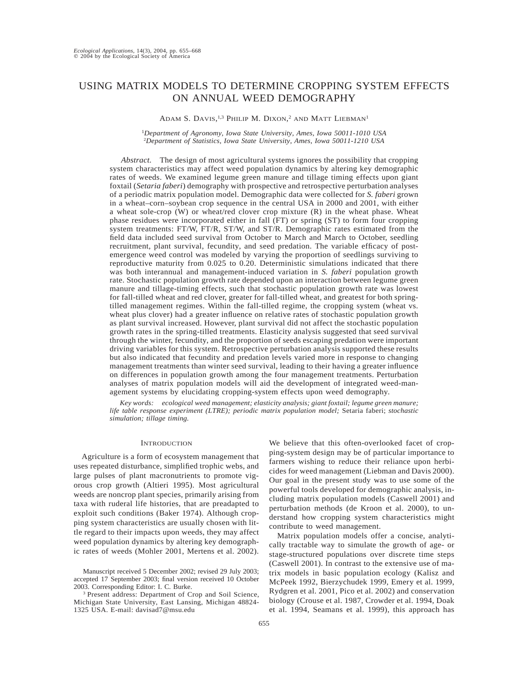# USING MATRIX MODELS TO DETERMINE CROPPING SYSTEM EFFECTS ON ANNUAL WEED DEMOGRAPHY

### ADAM S. DAVIS,<sup>1,3</sup> PHILIP M. DIXON,<sup>2</sup> AND MATT LIEBMAN<sup>1</sup>

<sup>1</sup>*Department of Agronomy, Iowa State University, Ames, Iowa 50011-1010 USA* <sup>2</sup>*Department of Statistics, Iowa State University, Ames, Iowa 50011-1210 USA*

*Abstract.* The design of most agricultural systems ignores the possibility that cropping system characteristics may affect weed population dynamics by altering key demographic rates of weeds. We examined legume green manure and tillage timing effects upon giant foxtail (*Setaria faberi*) demography with prospective and retrospective perturbation analyses of a periodic matrix population model. Demographic data were collected for *S. faberi* grown in a wheat–corn–soybean crop sequence in the central USA in 2000 and 2001, with either a wheat sole-crop (W) or wheat/red clover crop mixture  $(R)$  in the wheat phase. Wheat phase residues were incorporated either in fall (FT) or spring (ST) to form four cropping system treatments: FT/W, FT/R, ST/W, and ST/R. Demographic rates estimated from the field data included seed survival from October to March and March to October, seedling recruitment, plant survival, fecundity, and seed predation. The variable efficacy of postemergence weed control was modeled by varying the proportion of seedlings surviving to reproductive maturity from 0.025 to 0.20. Deterministic simulations indicated that there was both interannual and management-induced variation in *S. faberi* population growth rate. Stochastic population growth rate depended upon an interaction between legume green manure and tillage-timing effects, such that stochastic population growth rate was lowest for fall-tilled wheat and red clover, greater for fall-tilled wheat, and greatest for both springtilled management regimes. Within the fall-tilled regime, the cropping system (wheat vs. wheat plus clover) had a greater influence on relative rates of stochastic population growth as plant survival increased. However, plant survival did not affect the stochastic population growth rates in the spring-tilled treatments. Elasticity analysis suggested that seed survival through the winter, fecundity, and the proportion of seeds escaping predation were important driving variables for this system. Retrospective perturbation analysis supported these results but also indicated that fecundity and predation levels varied more in response to changing management treatments than winter seed survival, leading to their having a greater influence on differences in population growth among the four management treatments. Perturbation analyses of matrix population models will aid the development of integrated weed-management systems by elucidating cropping-system effects upon weed demography.

*Key words: ecological weed management; elasticity analysis; giant foxtail; legume green manure; life table response experiment (LTRE); periodic matrix population model;* Setaria faberi; *stochastic simulation; tillage timing.*

#### **INTRODUCTION**

Agriculture is a form of ecosystem management that uses repeated disturbance, simplified trophic webs, and large pulses of plant macronutrients to promote vigorous crop growth (Altieri 1995). Most agricultural weeds are noncrop plant species, primarily arising from taxa with ruderal life histories, that are preadapted to exploit such conditions (Baker 1974). Although cropping system characteristics are usually chosen with little regard to their impacts upon weeds, they may affect weed population dynamics by altering key demographic rates of weeds (Mohler 2001, Mertens et al. 2002).

Manuscript received 5 December 2002; revised 29 July 2003; accepted 17 September 2003; final version received 10 October 2003. Corresponding Editor: I. C. Burke.

<sup>3</sup> Present address: Department of Crop and Soil Science, Michigan State University, East Lansing, Michigan 48824- 1325 USA. E-mail: davisad7@msu.edu

We believe that this often-overlooked facet of cropping-system design may be of particular importance to farmers wishing to reduce their reliance upon herbicides for weed management (Liebman and Davis 2000). Our goal in the present study was to use some of the powerful tools developed for demographic analysis, including matrix population models (Caswell 2001) and perturbation methods (de Kroon et al. 2000), to understand how cropping system characteristics might contribute to weed management.

Matrix population models offer a concise, analytically tractable way to simulate the growth of age- or stage-structured populations over discrete time steps (Caswell 2001). In contrast to the extensive use of matrix models in basic population ecology (Kalisz and McPeek 1992, Bierzychudek 1999, Emery et al. 1999, Rydgren et al. 2001, Pico et al. 2002) and conservation biology (Crouse et al. 1987, Crowder et al. 1994, Doak et al. 1994, Seamans et al. 1999), this approach has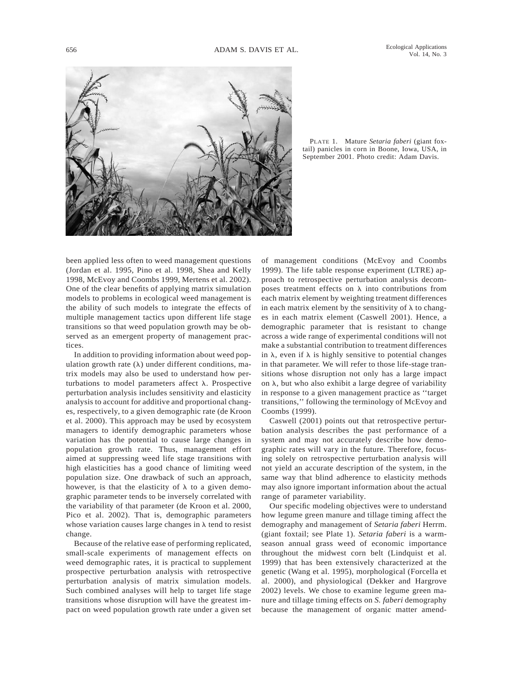

PLATE 1. Mature *Setaria faberi* (giant foxtail) panicles in corn in Boone, Iowa, USA, in September 2001. Photo credit: Adam Davis.

been applied less often to weed management questions (Jordan et al. 1995, Pino et al. 1998, Shea and Kelly 1998, McEvoy and Coombs 1999, Mertens et al. 2002). One of the clear benefits of applying matrix simulation models to problems in ecological weed management is the ability of such models to integrate the effects of multiple management tactics upon different life stage transitions so that weed population growth may be observed as an emergent property of management practices.

In addition to providing information about weed population growth rate  $(\lambda)$  under different conditions, matrix models may also be used to understand how perturbations to model parameters affect  $\lambda$ . Prospective perturbation analysis includes sensitivity and elasticity analysis to account for additive and proportional changes, respectively, to a given demographic rate (de Kroon et al. 2000). This approach may be used by ecosystem managers to identify demographic parameters whose variation has the potential to cause large changes in population growth rate. Thus, management effort aimed at suppressing weed life stage transitions with high elasticities has a good chance of limiting weed population size. One drawback of such an approach, however, is that the elasticity of  $\lambda$  to a given demographic parameter tends to be inversely correlated with the variability of that parameter (de Kroon et al. 2000, Pico et al. 2002). That is, demographic parameters whose variation causes large changes in  $\lambda$  tend to resist change.

Because of the relative ease of performing replicated, small-scale experiments of management effects on weed demographic rates, it is practical to supplement prospective perturbation analysis with retrospective perturbation analysis of matrix simulation models. Such combined analyses will help to target life stage transitions whose disruption will have the greatest impact on weed population growth rate under a given set

of management conditions (McEvoy and Coombs 1999). The life table response experiment (LTRE) approach to retrospective perturbation analysis decomposes treatment effects on  $\lambda$  into contributions from each matrix element by weighting treatment differences in each matrix element by the sensitivity of  $\lambda$  to changes in each matrix element (Caswell 2001). Hence, a demographic parameter that is resistant to change across a wide range of experimental conditions will not make a substantial contribution to treatment differences in  $\lambda$ , even if  $\lambda$  is highly sensitive to potential changes in that parameter. We will refer to those life-stage transitions whose disruption not only has a large impact on  $\lambda$ , but who also exhibit a large degree of variability in response to a given management practice as ''target transitions,'' following the terminology of McEvoy and Coombs (1999).

Caswell (2001) points out that retrospective perturbation analysis describes the past performance of a system and may not accurately describe how demographic rates will vary in the future. Therefore, focusing solely on retrospective perturbation analysis will not yield an accurate description of the system, in the same way that blind adherence to elasticity methods may also ignore important information about the actual range of parameter variability.

Our specific modeling objectives were to understand how legume green manure and tillage timing affect the demography and management of *Setaria faberi* Herrm. (giant foxtail; see Plate 1). *Setaria faberi* is a warmseason annual grass weed of economic importance throughout the midwest corn belt (Lindquist et al. 1999) that has been extensively characterized at the genetic (Wang et al. 1995), morphological (Forcella et al. 2000), and physiological (Dekker and Hargrove 2002) levels. We chose to examine legume green manure and tillage timing effects on *S. faberi* demography because the management of organic matter amend-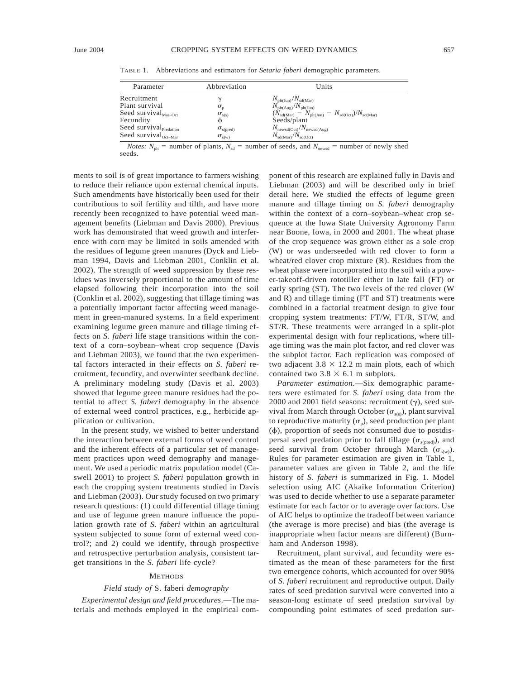| Parameter                                                                                                                                                  | Abbreviation                                                                      | Units                                                                                                                                                                                                                                                                                    |
|------------------------------------------------------------------------------------------------------------------------------------------------------------|-----------------------------------------------------------------------------------|------------------------------------------------------------------------------------------------------------------------------------------------------------------------------------------------------------------------------------------------------------------------------------------|
| Recruitment<br>Plant survival<br>Seed survival $_{\text{Mar-Oct}}$<br>Fecundity<br>Seed survival <sub>Predation</sub><br>Seed survival $_{\text{Oct-Mar}}$ | $\sigma_{p}$<br>$\sigma_{s(s)}$<br>Φ<br>$\sigma_{\rm s(pred)}$<br>$\sigma_{s(w)}$ | $N_{\text{plt(Jun)}}/N_{\text{sd(Mar)}}$<br>$N_{\text{plt(Aug)}}/N_{\text{plt(Jun)}}$<br>$(N_{\text{sd(Mar)}} - N_{\text{plt(Jun)}} - N_{\text{sd(Oct)}})/N_{\text{sd(Mar)}}$<br>Seeds/plant<br>$N_{\text{newsd(Oct)}}/N_{\text{newsd(Aug)}}$<br>$N_{\text{sd}(Mar)}/N_{\text{sd}(Oct)}$ |

TABLE 1. Abbreviations and estimators for *Setaria faberi* demographic parameters.

*Notes:*  $N_{\text{ph}}$  = number of plants,  $N_{\text{sd}}$  = number of seeds, and  $N_{\text{newsd}}$  = number of newly shed seeds.

ments to soil is of great importance to farmers wishing to reduce their reliance upon external chemical inputs. Such amendments have historically been used for their contributions to soil fertility and tilth, and have more recently been recognized to have potential weed management benefits (Liebman and Davis 2000). Previous work has demonstrated that weed growth and interference with corn may be limited in soils amended with the residues of legume green manures (Dyck and Liebman 1994, Davis and Liebman 2001, Conklin et al. 2002). The strength of weed suppression by these residues was inversely proportional to the amount of time elapsed following their incorporation into the soil (Conklin et al. 2002), suggesting that tillage timing was a potentially important factor affecting weed management in green-manured systems. In a field experiment examining legume green manure and tillage timing effects on *S. faberi* life stage transitions within the context of a corn–soybean–wheat crop sequence (Davis and Liebman 2003), we found that the two experimental factors interacted in their effects on *S. faberi* recruitment, fecundity, and overwinter seedbank decline. A preliminary modeling study (Davis et al. 2003) showed that legume green manure residues had the potential to affect *S. faberi* demography in the absence of external weed control practices, e.g., herbicide application or cultivation.

In the present study, we wished to better understand the interaction between external forms of weed control and the inherent effects of a particular set of management practices upon weed demography and management. We used a periodic matrix population model (Caswell 2001) to project *S. faberi* population growth in each the cropping system treatments studied in Davis and Liebman (2003). Our study focused on two primary research questions: (1) could differential tillage timing and use of legume green manure influence the population growth rate of *S. faberi* within an agricultural system subjected to some form of external weed control?; and 2) could we identify, through prospective and retrospective perturbation analysis, consistent target transitions in the *S. faberi* life cycle?

#### **METHODS**

## *Field study of* S. faberi *demography*

*Experimental design and field procedures*.—The materials and methods employed in the empirical com-

ponent of this research are explained fully in Davis and Liebman (2003) and will be described only in brief detail here. We studied the effects of legume green manure and tillage timing on *S. faberi* demography within the context of a corn–soybean–wheat crop sequence at the Iowa State University Agronomy Farm near Boone, Iowa, in 2000 and 2001. The wheat phase of the crop sequence was grown either as a sole crop (W) or was underseeded with red clover to form a wheat/red clover crop mixture (R). Residues from the wheat phase were incorporated into the soil with a power-takeoff-driven rototiller either in late fall (FT) or early spring (ST). The two levels of the red clover (W and R) and tillage timing (FT and ST) treatments were combined in a factorial treatment design to give four cropping system treatments: FT/W, FT/R, ST/W, and ST/R. These treatments were arranged in a split-plot experimental design with four replications, where tillage timing was the main plot factor, and red clover was the subplot factor. Each replication was composed of two adjacent  $3.8 \times 12.2$  m main plots, each of which contained two  $3.8 \times 6.1$  m subplots.

*Parameter estimation*.—Six demographic parameters were estimated for *S. faberi* using data from the 2000 and 2001 field seasons: recruitment  $(v)$ , seed survival from March through October  $(\sigma_{s(s)})$ , plant survival to reproductive maturity  $(\sigma_p)$ , seed production per plant  $(\phi)$ , proportion of seeds not consumed due to postdispersal seed predation prior to fall tillage ( $\sigma_{\text{sorted}}$ ), and seed survival from October through March  $(\sigma_{s(w)})$ . Rules for parameter estimation are given in Table 1, parameter values are given in Table 2, and the life history of *S. faberi* is summarized in Fig. 1. Model selection using AIC (Akaike Information Criterion) was used to decide whether to use a separate parameter estimate for each factor or to average over factors. Use of AIC helps to optimize the tradeoff between variance (the average is more precise) and bias (the average is inappropriate when factor means are different) (Burnham and Anderson 1998).

Recruitment, plant survival, and fecundity were estimated as the mean of these parameters for the first two emergence cohorts, which accounted for over 90% of *S. faberi* recruitment and reproductive output. Daily rates of seed predation survival were converted into a season-long estimate of seed predation survival by compounding point estimates of seed predation sur-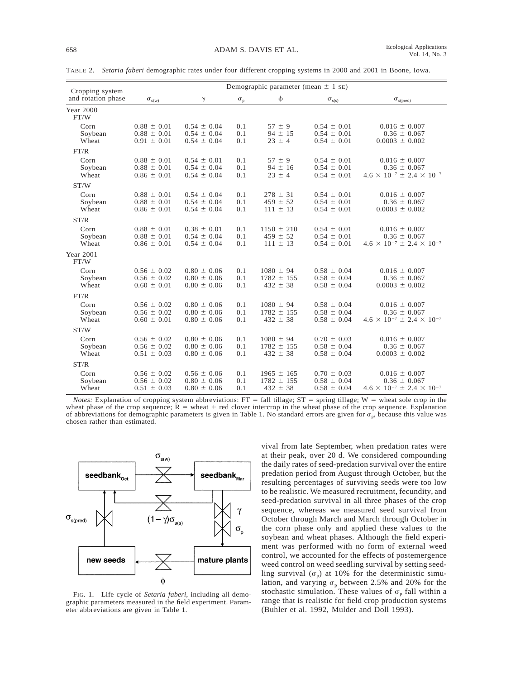| Cropping system          | Demographic parameter (mean $\pm$ 1 se)               |                                                       |                   |                                                  |                                                       |                                                                                      |  |
|--------------------------|-------------------------------------------------------|-------------------------------------------------------|-------------------|--------------------------------------------------|-------------------------------------------------------|--------------------------------------------------------------------------------------|--|
| and rotation phase       | $\sigma_{s(w)}$                                       | $\gamma$                                              | $\sigma_{\rm p}$  | $\phi$                                           | $\sigma_{s(s)}$                                       | $\sigma_{\text{s(pred)}}$                                                            |  |
| Year 2000<br>FT/W        |                                                       |                                                       |                   |                                                  |                                                       |                                                                                      |  |
| Corn<br>Soybean<br>Wheat | $0.88 \pm 0.01$<br>$0.88 \pm 0.01$<br>$0.91 \pm 0.01$ | $0.54 \pm 0.04$<br>$0.54 \pm 0.04$<br>$0.54 \pm 0.04$ | 0.1<br>0.1<br>0.1 | $57 \pm 9$<br>$94 \pm 15$<br>$23 \pm 4$          | $0.54 \pm 0.01$<br>$0.54 \pm 0.01$<br>$0.54 \pm 0.01$ | $0.016 \pm 0.007$<br>$0.36 \pm 0.067$<br>$0.0003 \pm 0.002$                          |  |
| FT/R                     |                                                       |                                                       |                   |                                                  |                                                       |                                                                                      |  |
| Corn<br>Soybean<br>Wheat | $0.88 \pm 0.01$<br>$0.88 \pm 0.01$<br>$0.86 \pm 0.01$ | $0.54 \pm 0.01$<br>$0.54 \pm 0.04$<br>$0.54 \pm 0.04$ | 0.1<br>0.1<br>0.1 | $57 \pm 9$<br>$94 \pm 16$<br>$23 \pm 4$          | $0.54 \pm 0.01$<br>$0.54 \pm 0.01$<br>$0.54 \pm 0.01$ | $0.016 \pm 0.007$<br>$0.36 \pm 0.067$<br>$4.6 \times 10^{-7} \pm 2.4 \times 10^{-7}$ |  |
| ST/W                     |                                                       |                                                       |                   |                                                  |                                                       |                                                                                      |  |
| Corn<br>Soybean<br>Wheat | $0.88 \pm 0.01$<br>$0.88 \pm 0.01$<br>$0.86 \pm 0.01$ | $0.54 \pm 0.04$<br>$0.54 \pm 0.04$<br>$0.54 \pm 0.04$ | 0.1<br>0.1<br>0.1 | $278 \pm 31$<br>$459 \pm 52$<br>$111 \pm 13$     | $0.54 \pm 0.01$<br>$0.54 \pm 0.01$<br>$0.54 \pm 0.01$ | $0.016 \pm 0.007$<br>$0.36 \pm 0.067$<br>$0.0003 \pm 0.002$                          |  |
| ST/R                     |                                                       |                                                       |                   |                                                  |                                                       |                                                                                      |  |
| Corn<br>Soybean<br>Wheat | $0.88 \pm 0.01$<br>$0.88 \pm 0.01$<br>$0.86 \pm 0.01$ | $0.38 \pm 0.01$<br>$0.54 \pm 0.04$<br>$0.54 \pm 0.04$ | 0.1<br>0.1<br>0.1 | $1150 \pm 210$<br>$459 \pm 52$<br>$111 \pm 13$   | $0.54 \pm 0.01$<br>$0.54 \pm 0.01$<br>$0.54 \pm 0.01$ | $0.016 \pm 0.007$<br>$0.36 \pm 0.067$<br>$4.6 \times 10^{-7} \pm 2.4 \times 10^{-7}$ |  |
| Year 2001<br>FT/W        |                                                       |                                                       |                   |                                                  |                                                       |                                                                                      |  |
| Corn<br>Soybean<br>Wheat | $0.56 \pm 0.02$<br>$0.56 \pm 0.02$<br>$0.60 \pm 0.01$ | $0.80 \pm 0.06$<br>$0.80 \pm 0.06$<br>$0.80 \pm 0.06$ | 0.1<br>0.1<br>0.1 | $1080 \pm 94$<br>$1782 \pm 155$<br>$432 \pm 38$  | $0.58 \pm 0.04$<br>$0.58 \pm 0.04$<br>$0.58 \pm 0.04$ | $0.016 \pm 0.007$<br>$0.36 \pm 0.067$<br>$0.0003 \pm 0.002$                          |  |
| FT/R                     |                                                       |                                                       |                   |                                                  |                                                       |                                                                                      |  |
| Corn<br>Soybean<br>Wheat | $0.56 \pm 0.02$<br>$0.56 \pm 0.02$<br>$0.60 \pm 0.01$ | $0.80 \pm 0.06$<br>$0.80 \pm 0.06$<br>$0.80 \pm 0.06$ | 0.1<br>0.1<br>0.1 | $1080 \pm 94$<br>$1782 \pm 155$<br>$432 \pm 38$  | $0.58 \pm 0.04$<br>$0.58 \pm 0.04$<br>$0.58 \pm 0.04$ | $0.016 \pm 0.007$<br>$0.36 \pm 0.067$<br>$4.6 \times 10^{-7} \pm 2.4 \times 10^{-7}$ |  |
| ST/W                     |                                                       |                                                       |                   |                                                  |                                                       |                                                                                      |  |
| Corn<br>Soybean<br>Wheat | $0.56 \pm 0.02$<br>$0.56 \pm 0.02$<br>$0.51 \pm 0.03$ | $0.80 \pm 0.06$<br>$0.80 \pm 0.06$<br>$0.80 \pm 0.06$ | 0.1<br>0.1<br>0.1 | $1080 \pm 94$<br>$1782 \pm 155$<br>$432 \pm 38$  | $0.70 \pm 0.03$<br>$0.58 \pm 0.04$<br>$0.58 \pm 0.04$ | $0.016 \pm 0.007$<br>$0.36 \pm 0.067$<br>$0.0003 \pm 0.002$                          |  |
| ST/R                     |                                                       |                                                       |                   |                                                  |                                                       |                                                                                      |  |
| Corn<br>Soybean<br>Wheat | $0.56 \pm 0.02$<br>$0.56 \pm 0.02$<br>$0.51 \pm 0.03$ | $0.56 \pm 0.06$<br>$0.80 \pm 0.06$<br>$0.80 \pm 0.06$ | 0.1<br>0.1<br>0.1 | $1965 \pm 165$<br>$1782 \pm 155$<br>$432 \pm 38$ | $0.70 \pm 0.03$<br>$0.58 \pm 0.04$<br>$0.58 \pm 0.04$ | $0.016 \pm 0.007$<br>$0.36 \pm 0.067$<br>$4.6 \times 10^{-7} \pm 2.4 \times 10^{-7}$ |  |

TABLE 2. *Setaria faberi* demographic rates under four different cropping systems in 2000 and 2001 in Boone, Iowa.

*Notes:* Explanation of cropping system abbreviations: FT = fall tillage;  $ST =$  spring tillage; W = wheat sole crop in the wheat phase of the crop sequence;  $\dot{R}$  = wheat + red clover intercrop in the wheat phase of the crop sequence. Explanation of abbreviations for demographic parameters is given in Table 1. No standard errors are given for  $\sigma_p$ , because this value was chosen rather than estimated.



FIG. 1. Life cycle of *Setaria faberi*, including all demographic parameters measured in the field experiment. Parameter abbreviations are given in Table 1.

vival from late September, when predation rates were at their peak, over 20 d. We considered compounding the daily rates of seed-predation survival over the entire predation period from August through October, but the resulting percentages of surviving seeds were too low to be realistic. We measured recruitment, fecundity, and seed-predation survival in all three phases of the crop sequence, whereas we measured seed survival from October through March and March through October in the corn phase only and applied these values to the soybean and wheat phases. Although the field experiment was performed with no form of external weed control, we accounted for the effects of postemergence weed control on weed seedling survival by setting seedling survival  $(\sigma_p)$  at 10% for the deterministic simulation, and varying  $\sigma_{\rm p}$  between 2.5% and 20% for the stochastic simulation. These values of  $\sigma_p$  fall within a range that is realistic for field crop production systems (Buhler et al. 1992, Mulder and Doll 1993).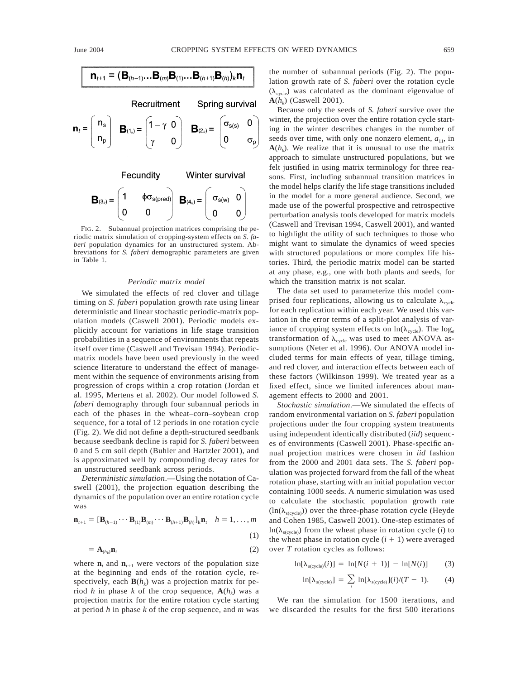$$
\mathbf{n}_{t+1} = (\mathbf{B}_{(h-1)}\dots\mathbf{B}_{(m)}\mathbf{B}_{(1)}\dots\mathbf{B}_{(h+1)}\mathbf{B}_{(h)})_k \mathbf{n}_t
$$
  
Recruitment Spring survival  

$$
\mathbf{n}_t = \begin{bmatrix} \mathbf{n}_s \\ \mathbf{n}_p \end{bmatrix} \quad \mathbf{B}_{(1_k)} = \begin{bmatrix} 1 - \gamma & 0 \\ \gamma & 0 \end{bmatrix} \quad \mathbf{B}_{(2_k)} = \begin{bmatrix} \sigma_{s(s)} & 0 \\ 0 & \sigma_p \end{bmatrix}
$$
  
Fecundity Winter survival  

$$
\mathbf{B}_{(3_k)} = \begin{bmatrix} 1 & \phi\sigma_{s(pred)} \\ 0 & 0 \end{bmatrix} \quad \mathbf{B}_{(4_k)} = \begin{bmatrix} \sigma_{s(w)} & 0 \\ 0 & 0 \end{bmatrix}
$$

FIG. 2. Subannual projection matrices comprising the periodic matrix simulation of cropping-system effects on *S. faberi* population dynamics for an unstructured system. Abbreviations for *S. faberi* demographic parameters are given in Table 1.

## *Periodic matrix model*

We simulated the effects of red clover and tillage timing on *S. faberi* population growth rate using linear deterministic and linear stochastic periodic-matrix population models (Caswell 2001). Periodic models explicitly account for variations in life stage transition probabilities in a sequence of environments that repeats itself over time (Caswell and Trevisan 1994). Periodicmatrix models have been used previously in the weed science literature to understand the effect of management within the sequence of environments arising from progression of crops within a crop rotation (Jordan et al. 1995, Mertens et al. 2002). Our model followed *S. faberi* demography through four subannual periods in each of the phases in the wheat–corn–soybean crop sequence, for a total of 12 periods in one rotation cycle (Fig. 2). We did not define a depth-structured seedbank because seedbank decline is rapid for *S. faberi* between 0 and 5 cm soil depth (Buhler and Hartzler 2001), and is approximated well by compounding decay rates for an unstructured seedbank across periods.

*Deterministic simulation*.—Using the notation of Caswell (2001), the projection equation describing the dynamics of the population over an entire rotation cycle was

$$
\mathbf{n}_{t+1} = [\mathbf{B}_{(h-1)} \cdots \mathbf{B}_{(1)} \mathbf{B}_{(m)} \cdots \mathbf{B}_{(h+1)} \mathbf{B}_{(h)}]_k \mathbf{n}_t \quad h = 1, \ldots, m
$$

$$
\mathcal{L}^{\mathcal{L}}(\mathcal{L}^{\mathcal{L}})
$$

$$
= \mathbf{A}_{(h_k)} \mathbf{n}_t \tag{2}
$$

(1)

where  $\mathbf{n}_t$  and  $\mathbf{n}_{t+1}$  were vectors of the population size at the beginning and ends of the rotation cycle, respectively, each  $\mathbf{B}(h_k)$  was a projection matrix for period *h* in phase *k* of the crop sequence,  $A(h_k)$  was a projection matrix for the entire rotation cycle starting at period *h* in phase *k* of the crop sequence, and *m* was the number of subannual periods (Fig. 2). The population growth rate of *S. faberi* over the rotation cycle  $(\lambda_{\text{cycle}})$  was calculated as the dominant eigenvalue of  $A(h_k)$  (Caswell 2001).

Because only the seeds of *S. faberi* survive over the winter, the projection over the entire rotation cycle starting in the winter describes changes in the number of seeds over time, with only one nonzero element,  $a_{11}$ , in  $A(h_k)$ . We realize that it is unusual to use the matrix approach to simulate unstructured populations, but we felt justified in using matrix terminology for three reasons. First, including subannual transition matrices in the model helps clarify the life stage transitions included in the model for a more general audience. Second, we made use of the powerful prospective and retrospective perturbation analysis tools developed for matrix models (Caswell and Trevisan 1994, Caswell 2001), and wanted to highlight the utility of such techniques to those who might want to simulate the dynamics of weed species with structured populations or more complex life histories. Third, the periodic matrix model can be started at any phase, e.g., one with both plants and seeds, for which the transition matrix is not scalar.

The data set used to parameterize this model comprised four replications, allowing us to calculate  $\lambda_{\text{cycle}}$ for each replication within each year. We used this variation in the error terms of a split-plot analysis of variance of cropping system effects on  $\ln(\lambda_{\text{cycle}})$ . The  $\log_e$ transformation of  $\lambda_{\text{cycle}}$  was used to meet ANOVA assumptions (Neter et al. 1996). Our ANOVA model included terms for main effects of year, tillage timing, and red clover, and interaction effects between each of these factors (Wilkinson 1999). We treated year as a fixed effect, since we limited inferences about management effects to 2000 and 2001.

*Stochastic simulation*.—We simulated the effects of random environmental variation on *S. faberi* population projections under the four cropping system treatments using independent identically distributed (*iid*) sequences of environments (Caswell 2001). Phase-specific annual projection matrices were chosen in *iid* fashion from the 2000 and 2001 data sets. The *S. faberi* population was projected forward from the fall of the wheat rotation phase, starting with an initial population vector containing 1000 seeds. A numeric simulation was used to calculate the stochastic population growth rate  $(ln(\lambda_{\text{s(cycle)}}))$  over the three-phase rotation cycle (Heyde and Cohen 1985, Caswell 2001). One-step estimates of  $ln(\lambda_{\text{s(cycle})})$  from the wheat phase in rotation cycle (*i*) to the wheat phase in rotation cycle  $(i + 1)$  were averaged over *T* rotation cycles as follows:

$$
\ln[\lambda_{\text{s(cycle)}}(i)] = \ln[N(i+1)] - \ln[N(i)] \tag{3}
$$

$$
\ln[\lambda_{\text{scycle}}] = \sum_{i} \ln[\lambda_{\text{scycle}}](i)/(T-1). \tag{4}
$$

We ran the simulation for 1500 iterations, and we discarded the results for the first 500 iterations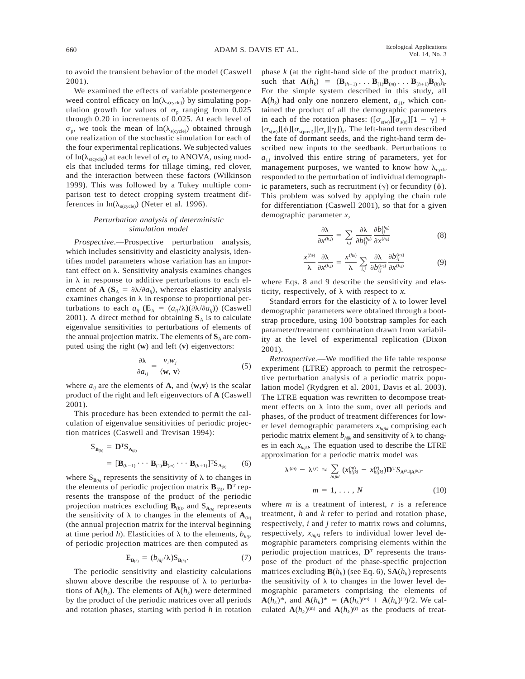to avoid the transient behavior of the model (Caswell 2001).

We examined the effects of variable postemergence weed control efficacy on  $ln(\lambda_{\text{scycle}})$  by simulating population growth for values of  $\sigma_p$  ranging from 0.025 through 0.20 in increments of 0.025. At each level of  $\sigma_{\rm p}$ , we took the mean of  $\ln(\lambda_{\rm{s(cycle)}})$  obtained through one realization of the stochastic simulation for each of the four experimental replications. We subjected values of  $ln(\lambda_{\text{s(cycle})})$  at each level of  $\sigma_n$  to ANOVA, using models that included terms for tillage timing, red clover, and the interaction between these factors (Wilkinson 1999). This was followed by a Tukey multiple comparison test to detect cropping system treatment differences in  $ln(\lambda_{s(cycle)})$  (Neter et al. 1996).

## *Perturbation analysis of deterministic simulation model*

*Prospective*.—Prospective perturbation analysis, which includes sensitivity and elasticity analysis, identifies model parameters whose variation has an important effect on  $\lambda$ . Sensitivity analysis examines changes in  $\lambda$  in response to additive perturbations to each element of **A** ( $\mathbf{S}_A = \partial \lambda / \partial a_{ij}$ ), whereas elasticity analysis examines changes in  $\lambda$  in response to proportional perturbations to each  $a_{ii}$  ( $\mathbf{E}_A = (a_{ii}/\lambda)(\partial \lambda/\partial a_{ii})$ ) (Caswell 2001). A direct method for obtaining  $S_A$  is to calculate eigenvalue sensitivities to perturbations of elements of the annual projection matrix. The elements of  $S<sub>A</sub>$  are computed using the right (**w**) and left (**v**) eigenvectors:

$$
\frac{\partial \lambda}{\partial a_{ij}} = \frac{v_i w_j}{\langle \mathbf{w}, \mathbf{v} \rangle} \tag{5}
$$

where  $a_{ij}$  are the elements of **A**, and  $\langle \mathbf{w}, \mathbf{v} \rangle$  is the scalar product of the right and left eigenvectors of **A** (Caswell 2001).

This procedure has been extended to permit the calculation of eigenvalue sensitivities of periodic projection matrices (Caswell and Trevisan 1994):

$$
\mathbf{S}_{\mathbf{B}_{(h)}} = \mathbf{D}^{\mathrm{T}} \mathbf{S}_{\mathbf{A}_{(h)}}
$$
  
= 
$$
[\mathbf{B}_{(h-1)} \cdots \mathbf{B}_{(1)} \mathbf{B}_{(m)} \cdots \mathbf{B}_{(h+1)}]^{\mathrm{T}} \mathbf{S}_{\mathbf{A}_{(h)}}
$$
(6)

where  $S_{\mathbf{B}_{(h)}}$  represents the sensitivity of  $\lambda$  to changes in the elements of periodic projection matrix  $\mathbf{B}_{(h)}$ ,  $\mathbf{D}^T$  represents the transpose of the product of the periodic projection matrices excluding  $\mathbf{B}_{(h)}$ , and  $\mathbf{S}_{\mathbf{A}_{(h)}}$  represents the sensitivity of  $\lambda$  to changes in the elements of  $\mathbf{A}_{(h)}$ (the annual projection matrix for the interval beginning at time period *h*). Elasticities of  $\lambda$  to the elements,  $b_{hi}$ of periodic projection matrices are then computed as

$$
\mathbf{E}_{\mathbf{B}_{(h)}} = (b_{hij}/\lambda)\mathbf{S}_{\mathbf{B}_{(h)}}.\tag{7}
$$

The periodic sensitivity and elasticity calculations shown above describe the response of  $\lambda$  to perturbations of  $\mathbf{A}(h_k)$ . The elements of  $\mathbf{A}(h_k)$  were determined by the product of the periodic matrices over all periods and rotation phases, starting with period *h* in rotation phase *k* (at the right-hand side of the product matrix), such that  $\mathbf{A}(h_k) = (\mathbf{B}_{(h-1)} \dots \mathbf{B}_{(1)} \mathbf{B}_{(m)} \dots \mathbf{B}_{(h+1)} \mathbf{B}_{(h)})_k$ . For the simple system described in this study, all  $A(h_k)$  had only one nonzero element,  $a_{11}$ , which contained the product of all the demographic parameters in each of the rotation phases:  $([\sigma_{s(w)}][\sigma_{s(s)}][1 - \gamma]$  +  $[\sigma_{s(w)}][\phi][\sigma_{s(pred)}][\sigma_p][\gamma]$ <sub>k</sub>. The left-hand term described the fate of dormant seeds, and the right-hand term described new inputs to the seedbank. Perturbations to  $a_{11}$  involved this entire string of parameters, yet for management purposes, we wanted to know how  $\lambda_{\text{cycle}}$ responded to the perturbation of individual demographic parameters, such as recruitment  $(\gamma)$  or fecundity  $(\phi)$ . This problem was solved by applying the chain rule for differentiation (Caswell 2001), so that for a given demographic parameter *x*,

$$
\frac{\partial \lambda}{\partial x^{(h_k)}} = \sum_{i,j} \frac{\partial \lambda}{\partial b_{ij}^{(h_k)}} \frac{\partial b_{ij}^{(h_k)}}{\partial x^{(h_k)}} \tag{8}
$$

$$
\frac{x^{(h_k)}}{\lambda} \frac{\partial \lambda}{\partial x^{(h_k)}} = \frac{x^{(h_k)}}{\lambda} \sum_{i,j} \frac{\partial \lambda}{\partial b_{ij}^{(h_k)}} \frac{\partial b_{ij}^{(h_k)}}{\partial x^{(h_k)}} \tag{9}
$$

where Eqs. 8 and 9 describe the sensitivity and elasticity, respectively, of  $\lambda$  with respect to *x*.

Standard errors for the elasticity of  $\lambda$  to lower level demographic parameters were obtained through a bootstrap procedure, using 100 bootstrap samples for each parameter/treatment combination drawn from variability at the level of experimental replication (Dixon 2001).

*Retrospective*.—We modified the life table response experiment (LTRE) approach to permit the retrospective perturbation analysis of a periodic matrix population model (Rydgren et al. 2001, Davis et al. 2003). The LTRE equation was rewritten to decompose treatment effects on  $\lambda$  into the sum, over all periods and phases, of the product of treatment differences for lower level demographic parameters  $x_{hijkl}$  comprising each periodic matrix element  $b_{hijk}$  and sensitivity of  $\lambda$  to changes in each  $x_{hijk}$ . The equation used to describe the LTRE approximation for a periodic matrix model was

$$
\lambda^{(m)} - \lambda^{(r)} \approx \sum_{hijkl} (x_{hijkl}^{(m)} - x_{hijkl}^{(r)}) \mathbf{D}^{\mathrm{T}} S_{\mathbf{A}^{(h_0)}|\mathbf{A}^{(h_0)^*}}
$$

$$
m = 1, \dots, N
$$
(10)

where *m* is a treatment of interest, *r* is a reference treatment, *h* and *k* refer to period and rotation phase, respectively, *i* and *j* refer to matrix rows and columns, respectively, *xhijkl* refers to individual lower level demographic parameters comprising elements within the periodic projection matrices, **D**<sup>T</sup> represents the transpose of the product of the phase-specific projection matrices excluding  $\mathbf{B}(h_k)$  (see Eq. 6),  $\mathbf{S}\mathbf{A}(h_k)$  represents the sensitivity of  $\lambda$  to changes in the lower level demographic parameters comprising the elements of  $\mathbf{A}(h_k)^*$ , and  $\mathbf{A}(h_k)^* = (\mathbf{A}(h_k)^{(m)} + \mathbf{A}(h_k)^{(r)})/2$ . We calculated  $\mathbf{A}(h_k)^{(m)}$  and  $\mathbf{A}(h_k)^{(r)}$  as the products of treat-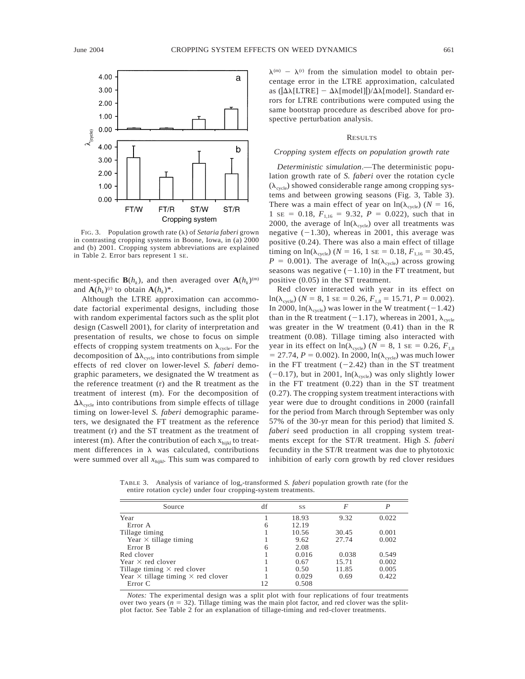

FIG. 3. Population growth rate  $(\lambda)$  of *Setaria faberi* grown in contrasting cropping systems in Boone, Iowa, in (a) 2000 and (b) 2001. Cropping system abbreviations are explained in Table 2. Error bars represent 1 SE.

ment-specific  $\mathbf{B}(h_k)$ , and then averaged over  $\mathbf{A}(h_k)^{(m)}$ and  $\mathbf{A}(h_k)^{(r)}$  to obtain  $\mathbf{A}(h_k)^*$ .

Although the LTRE approximation can accommodate factorial experimental designs, including those with random experimental factors such as the split plot design (Caswell 2001), for clarity of interpretation and presentation of results, we chose to focus on simple effects of cropping system treatments on  $\lambda_{\text{cycle}}$ . For the decomposition of  $\Delta\lambda_{\text{cycle}}$  into contributions from simple effects of red clover on lower-level *S. faberi* demographic parameters, we designated the W treatment as the reference treatment (r) and the R treatment as the treatment of interest (m). For the decomposition of  $\Delta\lambda_{\text{cycle}}$  into contributions from simple effects of tillage timing on lower-level *S. faberi* demographic parameters, we designated the FT treatment as the reference treatment (r) and the ST treatment as the treatment of interest (m). After the contribution of each  $x<sub>hikl</sub>$  to treatment differences in  $\lambda$  was calculated, contributions were summed over all  $x_{hijk}$ . This sum was compared to  $\lambda^{(m)}$  –  $\lambda^{(r)}$  from the simulation model to obtain percentage error in the LTRE approximation, calculated as ( $\Delta\lambda$ [LTRE] -  $\Delta\lambda$ [model]] $)/\Delta\lambda$ [model]. Standard errors for LTRE contributions were computed using the same bootstrap procedure as described above for prospective perturbation analysis.

#### RESULTS

#### *Cropping system effects on population growth rate*

*Deterministic simulation*.—The deterministic population growth rate of *S. faberi* over the rotation cycle  $(\lambda_{\text{cycle}})$  showed considerable range among cropping systems and between growing seasons (Fig. 3, Table 3). There was a main effect of year on  $ln(\lambda_{\text{cycle}})$  ( $N = 16$ , 1 se = 0.18,  $F_{1,16}$  = 9.32,  $P = 0.022$ ), such that in 2000, the average of  $ln(\lambda_{cycle})$  over all treatments was negative  $(-1.30)$ , whereas in 2001, this average was positive (0.24). There was also a main effect of tillage timing on  $ln(\lambda_{cycle})$  ( $N = 16$ , 1 se = 0.18,  $F_{1,16} = 30.45$ ,  $P = 0.001$ ). The average of  $\ln(\lambda_{\text{cycle}})$  across growing seasons was negative  $(-1.10)$  in the FT treatment, but positive (0.05) in the ST treatment.

Red clover interacted with year in its effect on  $ln(\lambda_{cycle})$  ( $N = 8$ , 1 se = 0.26,  $F_{1,8} = 15.71$ ,  $P = 0.002$ ). In 2000,  $ln(\lambda_{cycle})$  was lower in the W treatment (-1.42) than in the R treatment (-1.17), whereas in 2001,  $\lambda_{\text{cycle}}$ was greater in the W treatment (0.41) than in the R treatment (0.08). Tillage timing also interacted with year in its effect on  $ln(\lambda_{cycle})$  ( $N = 8$ , 1 se = 0.26,  $F_{1,8}$ )  $= 27.74, P = 0.002$ ). In 2000, ln( $\lambda_{cycle}$ ) was much lower in the FT treatment  $(-2.42)$  than in the ST treatment  $(-0.17)$ , but in 2001, ln( $\lambda_{cycle}$ ) was only slightly lower in the FT treatment (0.22) than in the ST treatment (0.27). The cropping system treatment interactions with year were due to drought conditions in 2000 (rainfall for the period from March through September was only 57% of the 30-yr mean for this period) that limited *S. faberi* seed production in all cropping system treatments except for the ST/R treatment. High *S. faberi* fecundity in the ST/R treatment was due to phytotoxic inhibition of early corn growth by red clover residues

TABLE 3. Analysis of variance of log*e*-transformed *S. faberi* population growth rate (for the entire rotation cycle) under four cropping-system treatments.

| Source                                           | df | SS    | F     |       |
|--------------------------------------------------|----|-------|-------|-------|
| Year                                             |    | 18.93 | 9.32  | 0.022 |
| Error A                                          | 6  | 12.19 |       |       |
| Tillage timing                                   |    | 10.56 | 30.45 | 0.001 |
| Year $\times$ tillage timing                     |    | 9.62  | 27.74 | 0.002 |
| Error B                                          | 6  | 2.08  |       |       |
| Red clover                                       |    | 0.016 | 0.038 | 0.549 |
| Year $\times$ red clover                         |    | 0.67  | 15.71 | 0.002 |
| Tillage timing $\times$ red clover               |    | 0.50  | 11.85 | 0.005 |
| Year $\times$ tillage timing $\times$ red clover |    | 0.029 | 0.69  | 0.422 |
| Error C                                          | 12 | 0.508 |       |       |

*Notes:* The experimental design was a split plot with four replications of four treatments over two years ( $n = 32$ ). Tillage timing was the main plot factor, and red clover was the splitplot factor. See Table 2 for an explanation of tillage-timing and red-clover treatments.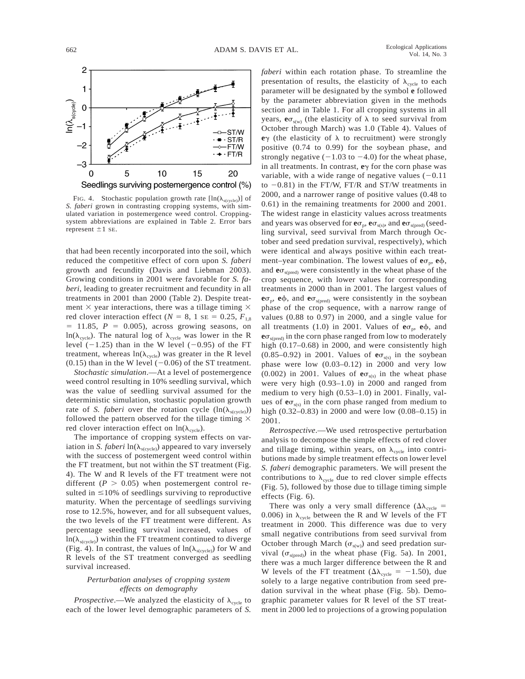

FIG. 4. Stochastic population growth rate  $[\ln(\lambda_{\text{s(cycle)}})]$  of *S. faberi* grown in contrasting cropping systems, with simulated variation in postemergence weed control. Croppingsystem abbreviations are explained in Table 2. Error bars represent  $\pm 1$  SE.

that had been recently incorporated into the soil, which reduced the competitive effect of corn upon *S. faberi* growth and fecundity (Davis and Liebman 2003). Growing conditions in 2001 were favorable for *S. faberi*, leading to greater recruitment and fecundity in all treatments in 2001 than 2000 (Table 2). Despite treatment  $\times$  year interactions, there was a tillage timing  $\times$ red clover interaction effect ( $N = 8$ , 1 se = 0.25,  $F_{1,8}$ )  $= 11.85$ ,  $P = 0.005$ ), across growing seasons, on  $ln(\lambda_{\text{cycle}})$ . The natural log of  $\lambda_{\text{cycle}}$  was lower in the R level  $(-1.25)$  than in the W level  $(-0.95)$  of the FT treatment, whereas  $ln(\lambda_{cycle})$  was greater in the R level  $(0.15)$  than in the W level  $(-0.06)$  of the ST treatment.

*Stochastic simulation*.—At a level of postemergence weed control resulting in 10% seedling survival, which was the value of seedling survival assumed for the deterministic simulation, stochastic population growth rate of *S. faberi* over the rotation cycle  $(ln(\lambda_{\text{s(cycle)}}))$ followed the pattern observed for the tillage timing  $\times$ red clover interaction effect on  $ln(\lambda_{cycle})$ .

The importance of cropping system effects on variation in *S. faberi*  $ln(\lambda_{s(cycle)})$  appeared to vary inversely with the success of postemergent weed control within the FT treatment, but not within the ST treatment (Fig. 4). The W and R levels of the FT treatment were not different  $(P > 0.05)$  when postemergent control resulted in  $\leq 10\%$  of seedlings surviving to reproductive maturity. When the percentage of seedlings surviving rose to 12.5%, however, and for all subsequent values, the two levels of the FT treatment were different. As percentage seedling survival increased, values of  $ln(\lambda_{\text{s(cycle)}})$  within the FT treatment continued to diverge (Fig. 4). In contrast, the values of  $ln(\lambda_{s(cycle)})$  for W and R levels of the ST treatment converged as seedling survival increased.

## *Perturbation analyses of cropping system effects on demography*

*Prospective*.—We analyzed the elasticity of  $\lambda_{\text{cycle}}$  to each of the lower level demographic parameters of *S.*

*faberi* within each rotation phase. To streamline the presentation of results, the elasticity of  $\lambda_{\text{cycle}}$  to each parameter will be designated by the symbol **e** followed by the parameter abbreviation given in the methods section and in Table 1. For all cropping systems in all years,  $\mathbf{e}\sigma_{s(w)}$  (the elasticity of  $\lambda$  to seed survival from October through March) was 1.0 (Table 4). Values of  $e\gamma$  (the elasticity of  $\lambda$  to recruitment) were strongly positive (0.74 to 0.99) for the soybean phase, and strongly negative  $(-1.03$  to  $-4.0)$  for the wheat phase, in all treatments. In contrast,  $e<sub>Y</sub>$  for the corn phase was variable, with a wide range of negative values  $(-0.11)$ to  $-0.81$ ) in the FT/W, FT/R and ST/W treatments in 2000, and a narrower range of positive values (0.48 to 0.61) in the remaining treatments for 2000 and 2001. The widest range in elasticity values across treatments and years was observed for  $e\sigma_p$ ,  $e\sigma_{s(s)}$ , and  $e\sigma_{s(pred)}$  (seedling survival, seed survival from March through October and seed predation survival, respectively), which were identical and always positive within each treatment–year combination. The lowest values of  $e\sigma_p$ ,  $e\phi$ , and  $e\sigma_{\text{sorted}}$  were consistently in the wheat phase of the crop sequence, with lower values for corresponding treatments in 2000 than in 2001. The largest values of  $e\sigma_p$ ,  $e\phi$ , and  $e\sigma_{\text{stored}}$  were consistently in the soybean phase of the crop sequence, with a narrow range of values (0.88 to 0.97) in 2000, and a single value for all treatments (1.0) in 2001. Values of  $e\sigma_p$ ,  $e\phi$ , and  $e\sigma_{\text{spread}}$  in the corn phase ranged from low to moderately high (0.17–0.68) in 2000, and were consistently high  $(0.85-0.92)$  in 2001. Values of  $e\sigma_{s(s)}$  in the soybean phase were low (0.03–0.12) in 2000 and very low (0.002) in 2001. Values of  $e\sigma_{s(s)}$  in the wheat phase were very high (0.93–1.0) in 2000 and ranged from medium to very high (0.53–1.0) in 2001. Finally, values of  $e\sigma_{s(s)}$  in the corn phase ranged from medium to high (0.32–0.83) in 2000 and were low (0.08–0.15) in 2001.

*Retrospective*.—We used retrospective perturbation analysis to decompose the simple effects of red clover and tillage timing, within years, on  $\lambda_{\text{cycle}}$  into contributions made by simple treatment effects on lower level *S. faberi* demographic parameters. We will present the contributions to  $\lambda_{\text{cycle}}$  due to red clover simple effects (Fig. 5), followed by those due to tillage timing simple effects (Fig. 6).

There was only a very small difference  $(\Delta \lambda_{\text{cycle}} =$ 0.006) in  $\lambda_{cycle}$  between the R and W levels of the FT treatment in 2000. This difference was due to very small negative contributions from seed survival from October through March ( $\sigma_{s(w)}$ ) and seed predation survival  $(\sigma_{\text{s(pred)}})$  in the wheat phase (Fig. 5a). In 2001, there was a much larger difference between the R and W levels of the FT treatment ( $\Delta \lambda_{\text{cycle}} = -1.50$ ), due solely to a large negative contribution from seed predation survival in the wheat phase (Fig. 5b). Demographic parameter values for R level of the ST treatment in 2000 led to projections of a growing population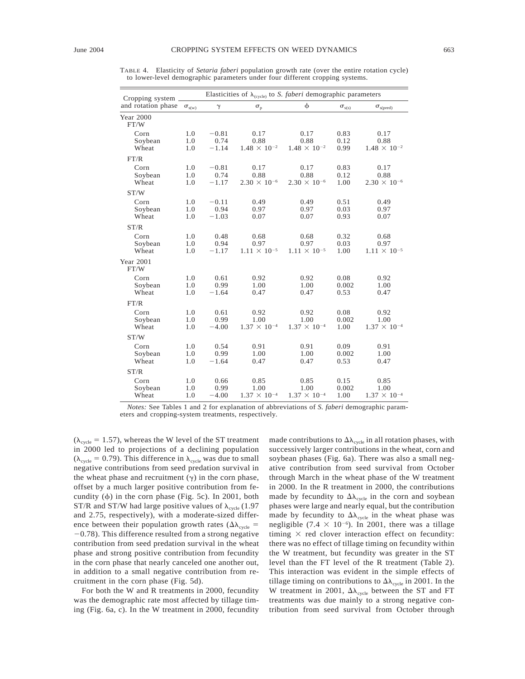Cropping system and rotation phase  $\sigma_{s(w)}$ 

> 1.0 1.0 1.0

> 1.0 1.0 1.0

0.61 0.99  $-1.64$ 

> 0.61 0.99

Year 2000 FT/W Corn Soybean Wheat

> FT/R Corn Soybean Wheat

> ST/W Corn Soybean Wheat

> ST/R Corn Soybean Wheat

Year 2001 FT/W Corn Soybean Wheat

> FT/R Corn Soybean Wheat

| ographic parameters under four different cropping systems.                            |          |                       |                       |                 |                           |  |
|---------------------------------------------------------------------------------------|----------|-----------------------|-----------------------|-----------------|---------------------------|--|
| Elasticities of $\lambda_{\text{(cycle)}}$ to <i>S. faberi</i> demographic parameters |          |                       |                       |                 |                           |  |
| $\sigma_{s(w)}$                                                                       | $\gamma$ | $\sigma_{\rm p}$      | φ                     | $\sigma_{s(s)}$ | $\sigma_{\text{s(pred)}}$ |  |
|                                                                                       |          |                       |                       |                 |                           |  |
| 1.0                                                                                   | $-0.81$  | 0.17                  | 0.17                  | 0.83            | 0.17                      |  |
| 1.0                                                                                   | 0.74     | 0.88                  | 0.88                  | 0.12            | 0.88                      |  |
| 1.0                                                                                   | $-1.14$  | $1.48 \times 10^{-2}$ | $1.48 \times 10^{-2}$ | 0.99            | $1.48 \times 10^{-2}$     |  |
|                                                                                       |          |                       |                       |                 |                           |  |
| 1.0                                                                                   | $-0.81$  | 0.17                  | 0.17                  | 0.83            | 0.17                      |  |
| 1.0                                                                                   | 0.74     | 0.88                  | 0.88                  | 0.12            | 0.88                      |  |
| 1.0                                                                                   | $-1.17$  | $2.30 \times 10^{-6}$ | $2.30 \times 10^{-6}$ | 1.00            | $2.30 \times 10^{-6}$     |  |
|                                                                                       |          |                       |                       |                 |                           |  |
| 1.0                                                                                   | $-0.11$  | 0.49                  | 0.49                  | 0.51            | 0.49                      |  |
| 1.0                                                                                   | 0.94     | 0.97                  | 0.97                  | 0.03            | 0.97                      |  |
| 1.0                                                                                   | $-1.03$  | 0.07                  | 0.07                  | 0.93            | 0.07                      |  |
|                                                                                       |          |                       |                       |                 |                           |  |
| 1.0                                                                                   | 0.48     | 0.68                  | 0.68                  | 0.32            | 0.68                      |  |
| 1.0                                                                                   | 0.94     | 0.97                  | 0.97                  | 0.03            | 0.97                      |  |
| 1.0                                                                                   | $-1.17$  | $1.11 \times 10^{-5}$ | $1.11 \times 10^{-5}$ | 1.00            | $1.11 \times 10^{-5}$     |  |
|                                                                                       |          |                       |                       |                 |                           |  |

0.92 1.00 0.47

0.92 1.00  $1.37 \times 10^{-4}$  0.08 0.002 0.53

0.08 0.002 1.00

0.92 1.00 0.47

0.92 1.00  $1.37 \times 10^{-4}$ 

TABLE 4. Elasticity of *Setaria faberi* population growth rate (over the entire rotation cycle) to lower-level demographic para

| Wheat                                                                                     | 1.0 | $-4.00$ | $1.37 \times 10^{-4}$ | $1.37 \times 10^{-4}$ | 1.00  | $1.37 \times 10^{-4}$ |
|-------------------------------------------------------------------------------------------|-----|---------|-----------------------|-----------------------|-------|-----------------------|
| ST/W                                                                                      |     |         |                       |                       |       |                       |
| Corn                                                                                      | 1.0 | 0.54    | 0.91                  | 0.91                  | 0.09  | 0.91                  |
| Soybean                                                                                   | 1.0 | 0.99    | 1.00                  | 1.00                  | 0.002 | 1.00                  |
| Wheat                                                                                     | 1.0 | $-1.64$ | 0.47                  | 0.47                  | 0.53  | 0.47                  |
| ST/R                                                                                      |     |         |                       |                       |       |                       |
| Corn                                                                                      | 1.0 | 0.66    | 0.85                  | 0.85                  | 0.15  | 0.85                  |
| Soybean                                                                                   | 1.0 | 0.99    | 1.00                  | 1.00                  | 0.002 | 1.00                  |
| Wheat                                                                                     | 1.0 | $-4.00$ | $1.37 \times 10^{-4}$ | $1.37 \times 10^{-4}$ | 1.00  | $1.37 \times 10^{-4}$ |
| Motor See Tobles 1 and 2 for evalenction of ephrovictions of S. Colori demographic person |     |         |                       |                       |       |                       |

0.92 1.00 0.47

0.92 1.00  $1.37 \times 10^{-4}$ 

 $(\lambda_{\text{cycle}} = 1.57)$ , whereas the W level of the ST treatment in 2000 led to projections of a declining population ( $\lambda_{\text{cycle}} = 0.79$ ). This difference in  $\lambda_{\text{cycle}}$  was due to small negative contributions from seed predation survival in the wheat phase and recruitment  $(y)$  in the corn phase, offset by a much larger positive contribution from fecundity  $(\phi)$  in the corn phase (Fig. 5c). In 2001, both ST/R and ST/W had large positive values of  $\lambda_{\text{cycle}}$  (1.97 and 2.75, respectively), with a moderate-sized difference between their population growth rates ( $\Delta\lambda_{\text{cycle}} =$  $-0.78$ ). This difference resulted from a strong negative contribution from seed predation survival in the wheat phase and strong positive contribution from fecundity in the corn phase that nearly canceled one another out, in addition to a small negative contribution from recruitment in the corn phase (Fig. 5d).

For both the W and R treatments in 2000, fecundity was the demographic rate most affected by tillage timing (Fig. 6a, c). In the W treatment in 2000, fecundity made contributions to  $\Delta\lambda_{\text{cycle}}$  in all rotation phases, with successively larger contributions in the wheat, corn and soybean phases (Fig. 6a). There was also a small negative contribution from seed survival from October through March in the wheat phase of the W treatment in 2000. In the R treatment in 2000, the contributions made by fecundity to  $\Delta\lambda_{\text{cycle}}$  in the corn and soybean phases were large and nearly equal, but the contribution made by fecundity to  $\Delta\lambda_{\text{cycle}}$  in the wheat phase was negligible (7.4  $\times$  10<sup>-6</sup>). In 2001, there was a tillage timing  $\times$  red clover interaction effect on fecundity: there was no effect of tillage timing on fecundity within the W treatment, but fecundity was greater in the ST level than the FT level of the R treatment (Table 2). This interaction was evident in the simple effects of tillage timing on contributions to  $\Delta\lambda_{\text{cycle}}$  in 2001. In the W treatment in 2001,  $\Delta\lambda_{\text{cycle}}$  between the ST and FT treatments was due mainly to a strong negative contribution from seed survival from October through

*Notes:* See Tables 1 and 2 for explanation of abbreviations of *S. faberi* demographic parameters and cropping-system treatments, respectively.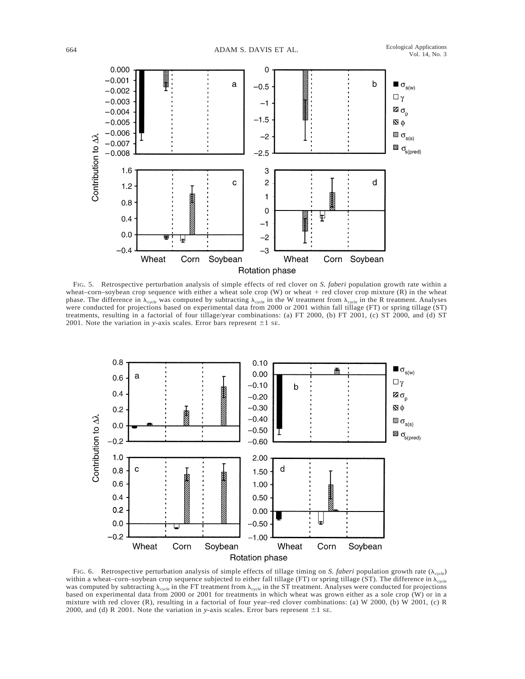

FIG. 5. Retrospective perturbation analysis of simple effects of red clover on *S. faberi* population growth rate within a wheat–corn–soybean crop sequence with either a wheat sole crop (W) or wheat  $+$  red clover crop mixture (R) in the wheat phase. The difference in  $\lambda_{cycle}$  was computed by subtracting  $\lambda_{cycle}$  in the W treatment from  $\lambda_{cycle}$  in the R treatment. Analyses were conducted for projections based on experimental data from 2000 or 2001 within fall tillage (FT) or spring tillage (ST) treatments, resulting in a factorial of four tillage/year combinations: (a) FT 2000, (b) FT 2001, (c) ST 2000, and (d) ST 2001. Note the variation in *y*-axis scales. Error bars represent  $\pm 1$  se.



FIG. 6. Retrospective perturbation analysis of simple effects of tillage timing on *S. faberi* population growth rate ( $\lambda_{cycle}$ ) within a wheat–corn–soybean crop sequence subjected to either fall tillage (FT) or spring tillage (ST). The difference in  $\lambda_{\text{cycle}}$ was computed by subtracting  $\lambda_{\text{cycle}}$  in the FT treatment from  $\lambda_{\text{cycle}}$  in the ST treatment. Analyses were conducted for projections based on experimental data from 2000 or 2001 for treatments in which wheat was grown either as a sole crop (W) or in a mixture with red clover (R), resulting in a factorial of four year–red clover combinations: (a) W 2000, (b) W 2001, (c) R 2000, and (d) R 2001. Note the variation in *y*-axis scales. Error bars represent  $\pm 1$  se.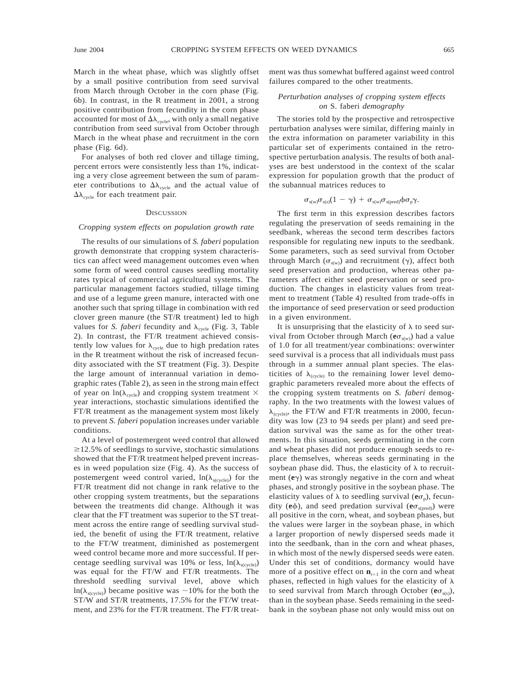March in the wheat phase, which was slightly offset by a small positive contribution from seed survival from March through October in the corn phase (Fig. 6b). In contrast, in the R treatment in 2001, a strong positive contribution from fecundity in the corn phase accounted for most of  $\Delta\lambda_{\text{cycle}}$ , with only a small negative contribution from seed survival from October through March in the wheat phase and recruitment in the corn phase (Fig. 6d).

For analyses of both red clover and tillage timing, percent errors were consistently less than 1%, indicating a very close agreement between the sum of parameter contributions to  $\Delta\lambda_{\text{cycle}}$  and the actual value of  $\Delta\lambda_{\text{cycle}}$  for each treatment pair.

#### **DISCUSSION**

## *Cropping system effects on population growth rate*

The results of our simulations of *S. faberi* population growth demonstrate that cropping system characteristics can affect weed management outcomes even when some form of weed control causes seedling mortality rates typical of commercial agricultural systems. The particular management factors studied, tillage timing and use of a legume green manure, interacted with one another such that spring tillage in combination with red clover green manure (the ST/R treatment) led to high values for *S. faberi* fecundity and  $\lambda_{\text{cycle}}$  (Fig. 3, Table 2). In contrast, the FT/R treatment achieved consistently low values for  $\lambda_{\text{cycle}}$  due to high predation rates in the R treatment without the risk of increased fecundity associated with the ST treatment (Fig. 3). Despite the large amount of interannual variation in demographic rates (Table 2), as seen in the strong main effect of year on  $ln(\lambda_{cycle})$  and cropping system treatment  $\times$ year interactions, stochastic simulations identified the FT/R treatment as the management system most likely to prevent *S. faberi* population increases under variable conditions.

At a level of postemergent weed control that allowed  $\geq$ 12.5% of seedlings to survive, stochastic simulations showed that the FT/R treatment helped prevent increases in weed population size (Fig. 4). As the success of postemergent weed control varied,  $ln(\lambda_{\text{s(cycle})})$  for the FT/R treatment did not change in rank relative to the other cropping system treatments, but the separations between the treatments did change. Although it was clear that the FT treatment was superior to the ST treatment across the entire range of seedling survival studied, the benefit of using the FT/R treatment, relative to the FT/W treatment, diminished as postemergent weed control became more and more successful. If percentage seedling survival was 10% or less,  $ln(\lambda_{\text{s(cycle)}})$ was equal for the FT/W and FT/R treatments. The threshold seedling survival level, above which  $ln(\lambda_{\text{s(cycle})})$  became positive was ~10% for the both the ST/W and ST/R treatments, 17.5% for the FT/W treatment, and 23% for the FT/R treatment. The FT/R treatment was thus somewhat buffered against weed control failures compared to the other treatments.

## *Perturbation analyses of cropping system effects on* S. faberi *demography*

The stories told by the prospective and retrospective perturbation analyses were similar, differing mainly in the extra information on parameter variability in this particular set of experiments contained in the retrospective perturbation analysis. The results of both analyses are best understood in the context of the scalar expression for population growth that the product of the subannual matrices reduces to

$$
\sigma_{s(w)}\sigma_{s(s)}(1 - \gamma) + \sigma_{s(w)}\sigma_{s(pred)}\varphi\sigma_p\gamma.
$$

The first term in this expression describes factors regulating the preservation of seeds remaining in the seedbank, whereas the second term describes factors responsible for regulating new inputs to the seedbank. Some parameters, such as seed survival from October through March ( $\sigma_{s(w)}$ ) and recruitment ( $\gamma$ ), affect both seed preservation and production, whereas other parameters affect either seed preservation or seed production. The changes in elasticity values from treatment to treatment (Table 4) resulted from trade-offs in the importance of seed preservation or seed production in a given environment.

It is unsurprising that the elasticity of  $\lambda$  to seed survival from October through March  $(e\sigma_{s(w)})$  had a value of 1.0 for all treatment/year combinations: overwinter seed survival is a process that all individuals must pass through in a summer annual plant species. The elasticities of  $\lambda_{\text{(cycle)}}$  to the remaining lower level demographic parameters revealed more about the effects of the cropping system treatments on *S. faberi* demography. In the two treatments with the lowest values of  $\lambda_{\text{(cycle)}}$ , the FT/W and FT/R treatments in 2000, fecundity was low (23 to 94 seeds per plant) and seed predation survival was the same as for the other treatments. In this situation, seeds germinating in the corn and wheat phases did not produce enough seeds to replace themselves, whereas seeds germinating in the soybean phase did. Thus, the elasticity of  $\lambda$  to recruitment  $(e<sub>\gamma</sub>)$  was strongly negative in the corn and wheat phases, and strongly positive in the soybean phase. The elasticity values of  $\lambda$  to seedling survival ( $e\sigma_p$ ), fecundity ( $e\phi$ ), and seed predation survival ( $e\sigma_{\text{spread}}$ ) were all positive in the corn, wheat, and soybean phases, but the values were larger in the soybean phase, in which a larger proportion of newly dispersed seeds made it into the seedbank, than in the corn and wheat phases, in which most of the newly dispersed seeds were eaten. Under this set of conditions, dormancy would have more of a positive effect on  $n_{t+1}$  in the corn and wheat phases, reflected in high values for the elasticity of  $\lambda$ to seed survival from March through October  $(e\sigma_{s(s)})$ , than in the soybean phase. Seeds remaining in the seedbank in the soybean phase not only would miss out on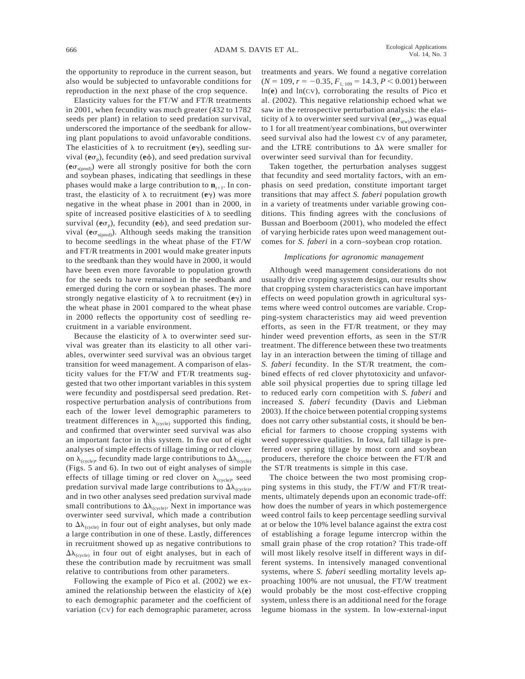the opportunity to reproduce in the current season, but also would be subjected to unfavorable conditions for reproduction in the next phase of the crop sequence.

Elasticity values for the FT/W and FT/R treatments in 2001, when fecundity was much greater (432 to 1782 seeds per plant) in relation to seed predation survival, underscored the importance of the seedbank for allowing plant populations to avoid unfavorable conditions. The elasticities of  $\lambda$  to recruitment ( $e\gamma$ ), seedling survival  $(e\sigma_p)$ , fecundity  $(e\phi)$ , and seed predation survival  $(e\sigma_{\text{stored}})$  were all strongly positive for both the corn and soybean phases, indicating that seedlings in these phases would make a large contribution to  $\mathbf{n}_{t+1}$ . In contrast, the elasticity of  $\lambda$  to recruitment ( $e\gamma$ ) was more negative in the wheat phase in 2001 than in 2000, in spite of increased positive elasticities of  $\lambda$  to seedling survival  $(e\sigma_p)$ , fecundity  $(e\phi)$ , and seed predation survival  $(e\sigma_{s(pred)})$ . Although seeds making the transition to become seedlings in the wheat phase of the FT/W and FT/R treatments in 2001 would make greater inputs to the seedbank than they would have in 2000, it would have been even more favorable to population growth for the seeds to have remained in the seedbank and emerged during the corn or soybean phases. The more strongly negative elasticity of  $\lambda$  to recruitment ( $e\gamma$ ) in the wheat phase in 2001 compared to the wheat phase in 2000 reflects the opportunity cost of seedling recruitment in a variable environment.

Because the elasticity of  $\lambda$  to overwinter seed survival was greater than its elasticity to all other variables, overwinter seed survival was an obvious target transition for weed management. A comparison of elasticity values for the FT/W and FT/R treatments suggested that two other important variables in this system were fecundity and postdispersal seed predation. Retrospective perturbation analysis of contributions from each of the lower level demographic parameters to treatment differences in  $\lambda_{\text{(cycle)}}$  supported this finding, and confirmed that overwinter seed survival was also an important factor in this system. In five out of eight analyses of simple effects of tillage timing or red clover on  $\lambda_{\text{(cycle)}}$ , fecundity made large contributions to  $\Delta\lambda_{\text{(cycle)}}$ (Figs. 5 and 6). In two out of eight analyses of simple effects of tillage timing or red clover on  $\lambda_{\text{(cycle)}}$ , seed predation survival made large contributions to  $\Delta\lambda_{\text{(cycle)}}$ , and in two other analyses seed predation survival made small contributions to  $\Delta\lambda_{\text{(cycle)}}$ . Next in importance was overwinter seed survival, which made a contribution to  $\Delta\lambda_{\text{(cycle)}}$  in four out of eight analyses, but only made a large contribution in one of these. Lastly, differences in recruitment showed up as negative contributions to  $\Delta\lambda_{\text{(cycle)}}$  in four out of eight analyses, but in each of these the contribution made by recruitment was small relative to contributions from other parameters.

Following the example of Pico et al. (2002) we examined the relationship between the elasticity of  $\lambda(e)$ to each demographic parameter and the coefficient of variation (CV) for each demographic parameter, across

treatments and years. We found a negative correlation  $(N = 109, r = -0.35, F<sub>1, 109</sub> = 14.3, P < 0.001)$  between ln(**e**) and ln(CV), corroborating the results of Pico et al. (2002). This negative relationship echoed what we saw in the retrospective perturbation analysis: the elasticity of  $\lambda$  to overwinter seed survival ( $e\sigma_{s(w)}$ ) was equal to 1 for all treatment/year combinations, but overwinter seed survival also had the lowest CV of any parameter, and the LTRE contributions to  $\Delta\lambda$  were smaller for overwinter seed survival than for fecundity.

Taken together, the perturbation analyses suggest that fecundity and seed mortality factors, with an emphasis on seed predation, constitute important target transitions that may affect *S. faberi* population growth in a variety of treatments under variable growing conditions. This finding agrees with the conclusions of Bussan and Boerboom (2001), who modeled the effect of varying herbicide rates upon weed management outcomes for *S. faberi* in a corn–soybean crop rotation.

#### *Implications for agronomic management*

Although weed management considerations do not usually drive cropping system design, our results show that cropping system characteristics can have important effects on weed population growth in agricultural systems where weed control outcomes are variable. Cropping-system characteristics may aid weed prevention efforts, as seen in the FT/R treatment, or they may hinder weed prevention efforts, as seen in the ST/R treatment. The difference between these two treatments lay in an interaction between the timing of tillage and *S. faberi* fecundity. In the ST/R treatment, the combined effects of red clover phytotoxicity and unfavorable soil physical properties due to spring tillage led to reduced early corn competition with *S. faberi* and increased *S. faberi* fecundity (Davis and Liebman 2003). If the choice between potential cropping systems does not carry other substantial costs, it should be beneficial for farmers to choose cropping systems with weed suppressive qualities. In Iowa, fall tillage is preferred over spring tillage by most corn and soybean producers, therefore the choice between the FT/R and the ST/R treatments is simple in this case.

The choice between the two most promising cropping systems in this study, the FT/W and FT/R treatments, ultimately depends upon an economic trade-off: how does the number of years in which postemergence weed control fails to keep percentage seedling survival at or below the 10% level balance against the extra cost of establishing a forage legume intercrop within the small grain phase of the crop rotation? This trade-off will most likely resolve itself in different ways in different systems. In intensively managed conventional systems, where *S. faberi* seedling mortality levels approaching 100% are not unusual, the FT/W treatment would probably be the most cost-effective cropping system, unless there is an additional need for the forage legume biomass in the system. In low-external-input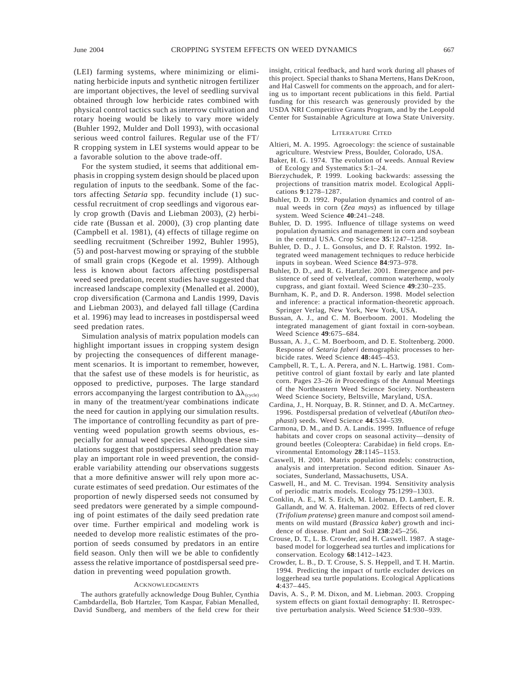(LEI) farming systems, where minimizing or eliminating herbicide inputs and synthetic nitrogen fertilizer are important objectives, the level of seedling survival obtained through low herbicide rates combined with physical control tactics such as interrow cultivation and rotary hoeing would be likely to vary more widely (Buhler 1992, Mulder and Doll 1993), with occasional serious weed control failures. Regular use of the FT/ R cropping system in LEI systems would appear to be a favorable solution to the above trade-off.

For the system studied, it seems that additional emphasis in cropping system design should be placed upon regulation of inputs to the seedbank. Some of the factors affecting *Setaria* spp. fecundity include (1) successful recruitment of crop seedlings and vigorous early crop growth (Davis and Liebman 2003), (2) herbicide rate (Bussan et al. 2000), (3) crop planting date (Campbell et al. 1981), (4) effects of tillage regime on seedling recruitment (Schreiber 1992, Buhler 1995), (5) and post-harvest mowing or spraying of the stubble of small grain crops (Kegode et al. 1999). Although less is known about factors affecting postdispersal weed seed predation, recent studies have suggested that increased landscape complexity (Menalled et al. 2000), crop diversification (Carmona and Landis 1999, Davis and Liebman 2003), and delayed fall tillage (Cardina et al. 1996) may lead to increases in postdispersal weed seed predation rates.

Simulation analysis of matrix population models can highlight important issues in cropping system design by projecting the consequences of different management scenarios. It is important to remember, however, that the safest use of these models is for heuristic, as opposed to predictive, purposes. The large standard errors accompanying the largest contribution to  $\Delta\lambda_{\text{(cycle)}}$ in many of the treatment/year combinations indicate the need for caution in applying our simulation results. The importance of controlling fecundity as part of preventing weed population growth seems obvious, especially for annual weed species. Although these simulations suggest that postdispersal seed predation may play an important role in weed prevention, the considerable variability attending our observations suggests that a more definitive answer will rely upon more accurate estimates of seed predation. Our estimates of the proportion of newly dispersed seeds not consumed by seed predators were generated by a simple compounding of point estimates of the daily seed predation rate over time. Further empirical and modeling work is needed to develop more realistic estimates of the proportion of seeds consumed by predators in an entire field season. Only then will we be able to confidently assess the relative importance of postdispersal seed predation in preventing weed population growth.

#### **ACKNOWLEDGMENTS**

The authors gratefully acknowledge Doug Buhler, Cynthia Cambdardella, Bob Hartzler, Tom Kaspar, Fabian Menalled, David Sundberg, and members of the field crew for their

insight, critical feedback, and hard work during all phases of this project. Special thanks to Shana Mertens, Hans DeKroon, and Hal Caswell for comments on the approach, and for alerting us to important recent publications in this field. Partial funding for this research was generously provided by the USDA NRI Competitive Grants Program, and by the Leopold Center for Sustainable Agriculture at Iowa State University.

#### LITERATURE CITED

- Altieri, M. A. 1995. Agroecology: the science of sustainable agriculture. Westview Press, Boulder, Colorado, USA.
- Baker, H. G. 1974. The evolution of weeds. Annual Review of Ecology and Systematics **5**:1–24.
- Bierzychudek, P. 1999. Looking backwards: assessing the projections of transition matrix model. Ecological Applications **9**:1278–1287.
- Buhler, D. D. 1992. Population dynamics and control of annual weeds in corn (*Zea mays*) as influenced by tillage system. Weed Science **40**:241–248.
- Buhler, D. D. 1995. Influence of tillage systems on weed population dynamics and management in corn and soybean in the central USA. Crop Science **35**:1247–1258.
- Buhler, D. D., J. L. Gonsolus, and D. F. Ralston. 1992. Integrated weed management techniques to reduce herbicide inputs in soybean. Weed Science **84**:973–978.
- Buhler, D. D., and R. G. Hartzler. 2001. Emergence and persistence of seed of velvetleaf, common waterhemp, wooly cupgrass, and giant foxtail. Weed Science **49**:230–235.
- Burnham, K. P., and D. R. Anderson. 1998. Model selection and inference: a practical information-theoretic approach. Springer Verlag, New York, New York, USA.
- Bussan, A. J., and C. M. Boerboom. 2001. Modeling the integrated management of giant foxtail in corn-soybean. Weed Science **49**:675–684.
- Bussan, A. J., C. M. Boerboom, and D. E. Stoltenberg. 2000. Response of *Setaria faberi* demographic processes to herbicide rates. Weed Science **48**:445–453.
- Campbell, R. T., L. A. Perera, and N. L. Hartwig. 1981. Competitive control of giant foxtail by early and late planted corn. Pages 23–26 *in* Proceedings of the Annual Meetings of the Northeastern Weed Science Society. Northeastern Weed Science Society, Beltsville, Maryland, USA.
- Cardina, J., H. Norquay, B. R. Stinner, and D. A. McCartney. 1996. Postdispersal predation of velvetleaf (*Abutilon theophasti*) seeds. Weed Science **44**:534–539.
- Carmona, D. M., and D. A. Landis. 1999. Influence of refuge habitats and cover crops on seasonal activity—density of ground beetles (Coleoptera: Carabidae) in field crops. Environmental Entomology **28**:1145–1153.
- Caswell, H. 2001. Matrix population models: construction, analysis and interpretation. Second edition. Sinauer Associates, Sunderland, Massachusetts, USA.
- Caswell, H., and M. C. Trevisan. 1994. Sensitivity analysis of periodic matrix models. Ecology **75**:1299–1303.
- Conklin, A. E., M. S. Erich, M. Liebman, D. Lambert, E. R. Gallandt, and W. A. Halteman. 2002. Effects of red clover (*Trifolium pratense*) green manure and compost soil amendments on wild mustard (*Brassica kaber*) growth and incidence of disease. Plant and Soil **238**:245–256.
- Crouse, D. T., L. B. Crowder, and H. Caswell. 1987. A stagebased model for loggerhead sea turtles and implications for conservation. Ecology **68**:1412–1423.
- Crowder, L. B., D. T. Crouse, S. S. Heppell, and T. H. Martin. 1994. Predicting the impact of turtle excluder devices on loggerhead sea turtle populations. Ecological Applications **4**:437–445.
- Davis, A. S., P. M. Dixon, and M. Liebman. 2003. Cropping system effects on giant foxtail demography: II. Retrospective perturbation analysis. Weed Science **51**:930–939.